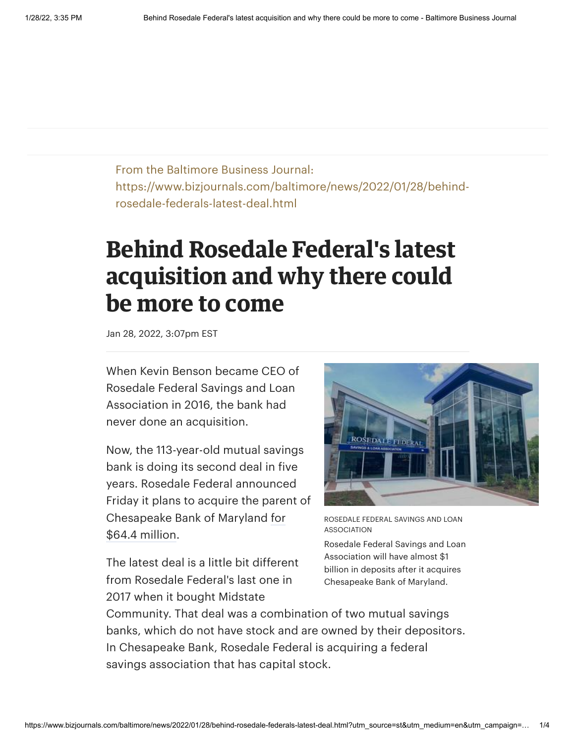From the Baltimore Business Journal: https://www.bizjournals.com/baltimore/news/2022/01/28/behindrosedale-federals-latest-deal.html

## **Behind Rosedale Federal's latest acquisition and why there could be more to come**

Jan 28, 2022, 3:07pm EST

When Kevin Benson became CEO of Rosedale Federal Savings and Loan Association in 2016, the bank had never done an acquisition.

Now, the 113-year-old mutual savings bank is doing its second deal in five years. Rosedale Federal announced Friday it plans to acquire the parent of [Chesapeake Bank of Maryland for](https://www.bizjournals.com/baltimore/news/2017/02/15/rosedale-federal-assets-to-approach-1b-with.html) \$64.4 million.

The latest deal is a little bit different from Rosedale Federal's last one in 2017 when it bought Midstate



ROSEDALE FEDERAL SAVINGS AND LOAN ASSOCIATION

Rosedale Federal Savings and Loan Association will have almost \$1 billion in deposits after it acquires Chesapeake Bank of Maryland.

Community. That deal was a combination of two mutual savings banks, which do not have stock and are owned by their depositors. In Chesapeake Bank, Rosedale Federal is acquiring a federal savings association that has capital stock.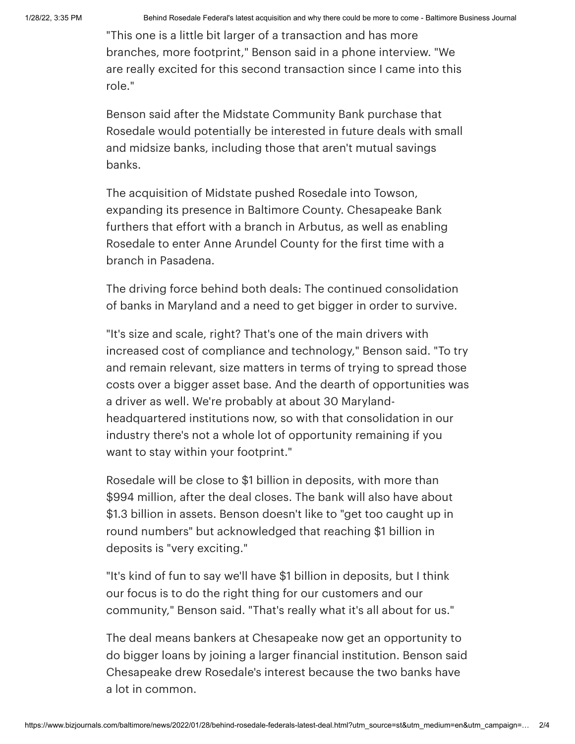1/28/22, 3:35 PM Behind Rosedale Federal's latest acquisition and why there could be more to come - Baltimore Business Journal

"This one is a little bit larger of a transaction and has more branches, more footprint," Benson said in a phone interview. "We are really excited for this second transaction since I came into this role."

Benson said after the Midstate Community Bank purchase that Rosedale would [potentially](https://www.bizjournals.com/baltimore/news/2017/02/16/why-rosedale-federal-can-be-a-player-for-future.html) be interested in future deals with small and midsize banks, including those that aren't mutual savings banks.

The acquisition of Midstate pushed Rosedale into Towson, expanding its presence in Baltimore County. Chesapeake Bank furthers that effort with a branch in Arbutus, as well as enabling Rosedale to enter Anne Arundel County for the first time with a branch in Pasadena.

The driving force behind both deals: The continued consolidation of banks in Maryland and a need to get bigger in order to survive.

"It's size and scale, right? That's one of the main drivers with increased cost of compliance and technology," Benson said. "To try and remain relevant, size matters in terms of trying to spread those costs over a bigger asset base. And the dearth of opportunities was a driver as well. We're probably at about 30 Marylandheadquartered institutions now, so with that consolidation in our industry there's not a whole lot of opportunity remaining if you want to stay within your footprint."

Rosedale will be close to \$1 billion in deposits, with more than \$994 million, after the deal closes. The bank will also have about \$1.3 billion in assets. Benson doesn't like to "get too caught up in round numbers" but acknowledged that reaching \$1 billion in deposits is "very exciting."

"It's kind of fun to say we'll have \$1 billion in deposits, but I think our focus is to do the right thing for our customers and our community," Benson said. "That's really what it's all about for us."

The deal means bankers at Chesapeake now get an opportunity to do bigger loans by joining a larger financial institution. Benson said Chesapeake drew Rosedale's interest because the two banks have a lot in common.